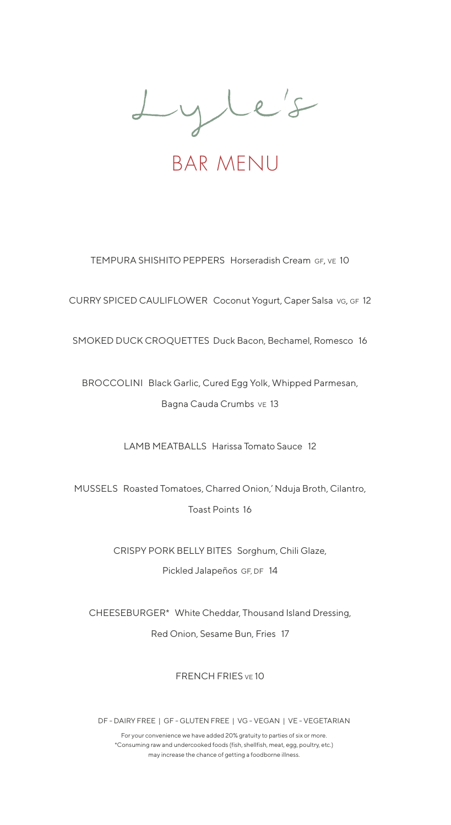Lyle's

BAR MENU

TEMPURA SHISHITO PEPPERS Horseradish Cream GF, VE 10

CURRY SPICED CAULIFLOWER Coconut Yogurt, Caper Salsa vg, GF 12

SMOKED DUCK CROQUETTES Duck Bacon, Bechamel, Romesco 16

BROCCOLINI Black Garlic, Cured Egg Yolk, Whipped Parmesan, Bagna Cauda Crumbs ve 13

LAMB MEATBALLS Harissa Tomato Sauce 12

MUSSELS Roasted Tomatoes, Charred Onion,' Nduja Broth, Cilantro, Toast Points 16

> CRISPY PORK BELLY BITES Sorghum, Chili Glaze, Pickled Jalapeños GF, DF 14

CHEESEBURGER\* White Cheddar, Thousand Island Dressing, Red Onion, Sesame Bun, Fries 17

FRENCH FRIES VE 10

DF - DAIRY FREE | GF - GLUTEN FREE | VG - VEGAN | VE - VEGETARIAN

For your convenience we have added 20% gratuity to parties of six or more. \*Consuming raw and undercooked foods (fish, shellfish, meat, egg, poultry, etc.) may increase the chance of getting a foodborne illness.